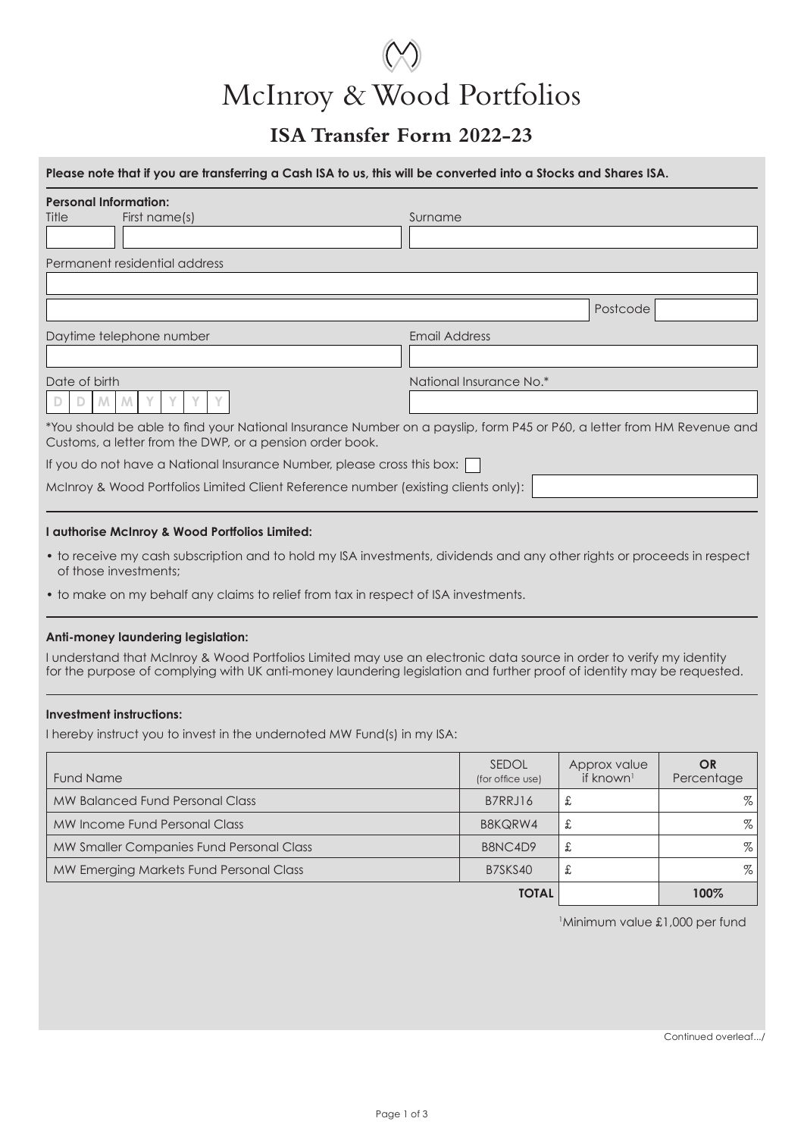# McInroy & Wood Portfolios

### **ISA Transfer Form 2022-23**

| Please note that if you are transferring a Cash ISA to us, this will be converted into a Stocks and Shares ISA.                                                                    |                         |
|------------------------------------------------------------------------------------------------------------------------------------------------------------------------------------|-------------------------|
| <b>Personal Information:</b><br>Title<br>First name(s)                                                                                                                             | Surname                 |
| Permanent residential address                                                                                                                                                      |                         |
|                                                                                                                                                                                    | Postcode                |
| Daytime telephone number                                                                                                                                                           | <b>Email Address</b>    |
|                                                                                                                                                                                    |                         |
| Date of birth                                                                                                                                                                      | National Insurance No.* |
| *You should be able to find your National Insurance Number on a payslip, form P45 or P60, a letter from HM Revenue and<br>Customs, a letter from the DWP, or a pension order book. |                         |
| If you do not have a National Insurance Number, please cross this box:                                                                                                             |                         |
| McInroy & Wood Portfolios Limited Client Reference number (existing clients only):                                                                                                 |                         |

#### **I authorise McInroy & Wood Portfolios Limited:**

- to receive my cash subscription and to hold my ISA investments, dividends and any other rights or proceeds in respect of those investments;
- to make on my behalf any claims to relief from tax in respect of ISA investments.

#### **Anti-money laundering legislation:**

I understand that McInroy & Wood Portfolios Limited may use an electronic data source in order to verify my identity for the purpose of complying with UK anti-money laundering legislation and further proof of identity may be requested.

#### **Investment instructions:**

I hereby instruct you to invest in the undernoted MW Fund(s) in my ISA:

| <b>Fund Name</b>                         | <b>SEDOL</b><br>(for office use) | Approx value<br>if known <sup>1</sup> | <b>OR</b><br>Percentage |
|------------------------------------------|----------------------------------|---------------------------------------|-------------------------|
| MW Balanced Fund Personal Class          | B7RRJ16                          | £                                     | $\%$ I                  |
| MW Income Fund Personal Class            | B8KQRW4                          | £                                     | $\%$                    |
| MW Smaller Companies Fund Personal Class | B8NC4D9                          | £                                     | $\%$                    |
| MW Emerging Markets Fund Personal Class  | B7SKS40                          | £                                     | $\%$                    |
|                                          |                                  | 100%                                  |                         |

Minimum value £1,000 per fund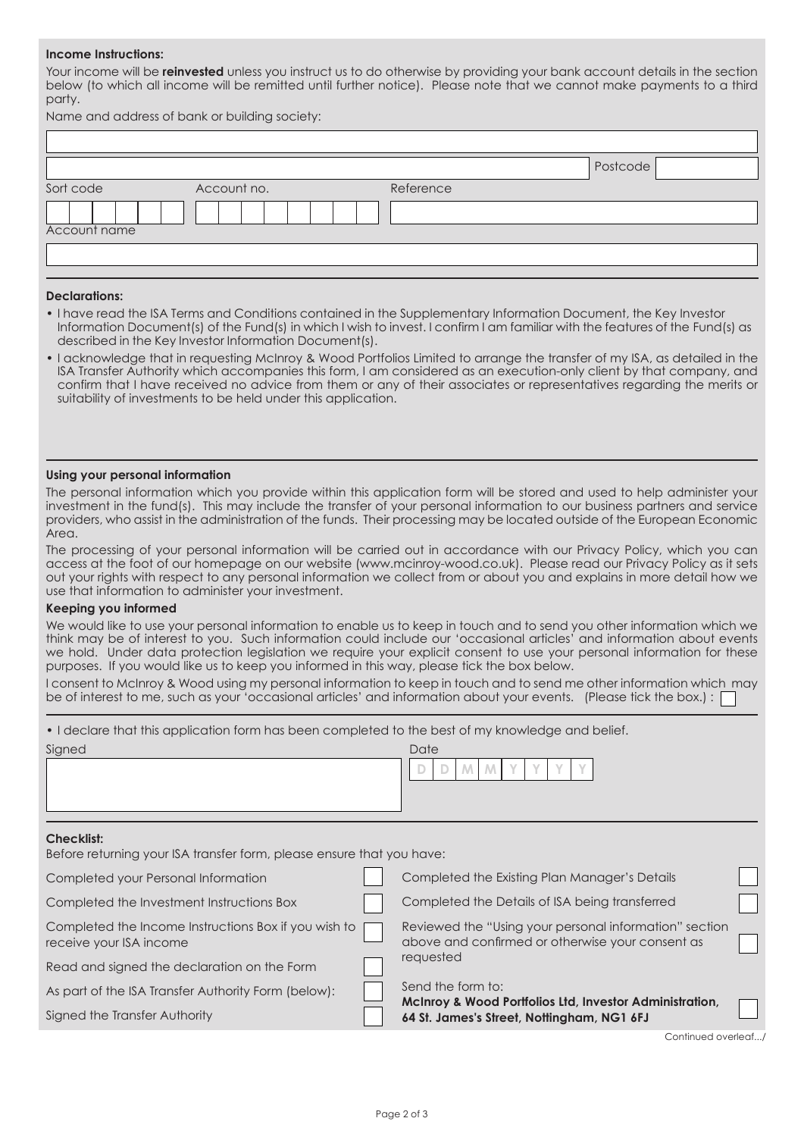#### **Income Instructions:**

Your income will be **reinvested** unless you instruct us to do otherwise by providing your bank account details in the section below (to which all income will be remitted until further notice). Please note that we cannot make payments to a third party.

Name and address of bank or building society:

|              |             |           | Postcode |
|--------------|-------------|-----------|----------|
| Sort code    | Account no. | Reference |          |
|              |             |           |          |
| Account name |             |           |          |
|              |             |           |          |
|              |             |           |          |

#### **Declarations:**

- I have read the ISA Terms and Conditions contained in the Supplementary Information Document, the Key Investor Information Document(s) of the Fund(s) in which I wish to invest. I confirm I am familiar with the features of the Fund(s) as described in the Key Investor Information Document(s).
- I acknowledge that in requesting McInroy & Wood Portfolios Limited to arrange the transfer of my ISA, as detailed in the ISA Transfer Authority which accompanies this form, I am considered as an execution-only client by that company, and confirm that I have received no advice from them or any of their associates or representatives regarding the merits or suitability of investments to be held under this application.

#### **Using your personal information**

The personal information which you provide within this application form will be stored and used to help administer your investment in the fund(s). This may include the transfer of your personal information to our business partners and service providers, who assist in the administration of the funds. Their processing may be located outside of the European Economic Area.

The processing of your personal information will be carried out in accordance with our Privacy Policy, which you can access at the foot of our homepage on our website (www.mcinroy-wood.co.uk). Please read our Privacy Policy as it sets out your rights with respect to any personal information we collect from or about you and explains in more detail how we use that information to administer your investment.

#### **Keeping you informed**

We would like to use your personal information to enable us to keep in touch and to send you other information which we think may be of interest to you. Such information could include our 'occasional articles' and information about events we hold. Under data protection legislation we require your explicit consent to use your personal information for these purposes. If you would like us to keep you informed in this way, please tick the box below.

I consent to McInroy & Wood using my personal information to keep in touch and to send me other information which may be of interest to me, such as your 'occasional articles' and information about your events. (Please tick the box.) : [

| • I declare that this application form has been completed to the best of my knowledge and belief. |  |                                                                                                            |  |  |  |
|---------------------------------------------------------------------------------------------------|--|------------------------------------------------------------------------------------------------------------|--|--|--|
| Signed                                                                                            |  | Date                                                                                                       |  |  |  |
|                                                                                                   |  | M                                                                                                          |  |  |  |
| <b>Checklist:</b><br>Before returning your ISA transfer form, please ensure that you have:        |  |                                                                                                            |  |  |  |
| Completed your Personal Information                                                               |  | Completed the Existing Plan Manager's Details                                                              |  |  |  |
| Completed the Investment Instructions Box                                                         |  | Completed the Details of ISA being transferred                                                             |  |  |  |
| Completed the Income Instructions Box if you wish to<br>receive your ISA income                   |  | Reviewed the "Using your personal information" section<br>above and confirmed or otherwise your consent as |  |  |  |
| Read and signed the declaration on the Form                                                       |  | requested                                                                                                  |  |  |  |
| As part of the ISA Transfer Authority Form (below):                                               |  | Send the form to:<br>McInroy & Wood Portfolios Ltd, Investor Administration,                               |  |  |  |
| Signed the Transfer Authority                                                                     |  | 64 St. James's Street, Nottingham, NG1 6FJ                                                                 |  |  |  |

Continued overleaf.../